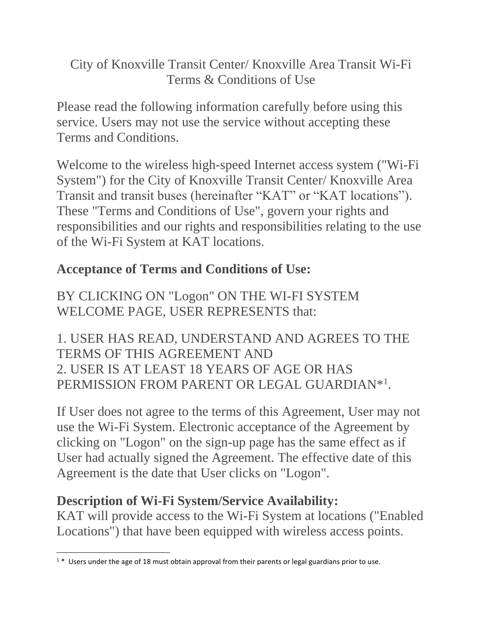City of Knoxville Transit Center/ Knoxville Area Transit Wi-Fi Terms & Conditions of Use

Please read the following information carefully before using this service. Users may not use the service without accepting these Terms and Conditions.

Welcome to the wireless high-speed Internet access system ("Wi-Fi System") for the City of Knoxville Transit Center/ Knoxville Area Transit and transit buses (hereinafter "KAT" or "KAT locations"). These "Terms and Conditions of Use", govern your rights and responsibilities and our rights and responsibilities relating to the use of the Wi-Fi System at KAT locations.

# **Acceptance of Terms and Conditions of Use:**

BY CLICKING ON "Logon" ON THE WI-FI SYSTEM WELCOME PAGE, USER REPRESENTS that:

1. USER HAS READ, UNDERSTAND AND AGREES TO THE TERMS OF THIS AGREEMENT AND 2. USER IS AT LEAST 18 YEARS OF AGE OR HAS PERMISSION FROM PARENT OR LEGAL GUARDIAN\*<sup>1</sup>.

If User does not agree to the terms of this Agreement, User may not use the Wi-Fi System. Electronic acceptance of the Agreement by clicking on "Logon" on the sign-up page has the same effect as if User had actually signed the Agreement. The effective date of this Agreement is the date that User clicks on "Logon".

## **Description of Wi-Fi System/Service Availability:**

KAT will provide access to the Wi-Fi System at locations ("Enabled Locations") that have been equipped with wireless access points.

 $\overline{\phantom{a}}$  $1*$  Users under the age of 18 must obtain approval from their parents or legal guardians prior to use.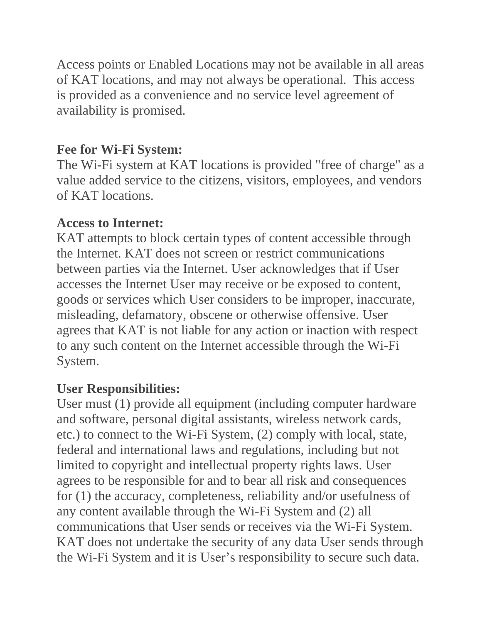Access points or Enabled Locations may not be available in all areas of KAT locations, and may not always be operational. This access is provided as a convenience and no service level agreement of availability is promised.

### **Fee for Wi-Fi System:**

The Wi-Fi system at KAT locations is provided "free of charge" as a value added service to the citizens, visitors, employees, and vendors of KAT locations.

#### **Access to Internet:**

KAT attempts to block certain types of content accessible through the Internet. KAT does not screen or restrict communications between parties via the Internet. User acknowledges that if User accesses the Internet User may receive or be exposed to content, goods or services which User considers to be improper, inaccurate, misleading, defamatory, obscene or otherwise offensive. User agrees that KAT is not liable for any action or inaction with respect to any such content on the Internet accessible through the Wi-Fi System.

## **User Responsibilities:**

User must (1) provide all equipment (including computer hardware and software, personal digital assistants, wireless network cards, etc.) to connect to the Wi-Fi System, (2) comply with local, state, federal and international laws and regulations, including but not limited to copyright and intellectual property rights laws. User agrees to be responsible for and to bear all risk and consequences for (1) the accuracy, completeness, reliability and/or usefulness of any content available through the Wi-Fi System and (2) all communications that User sends or receives via the Wi-Fi System. KAT does not undertake the security of any data User sends through the Wi-Fi System and it is User's responsibility to secure such data.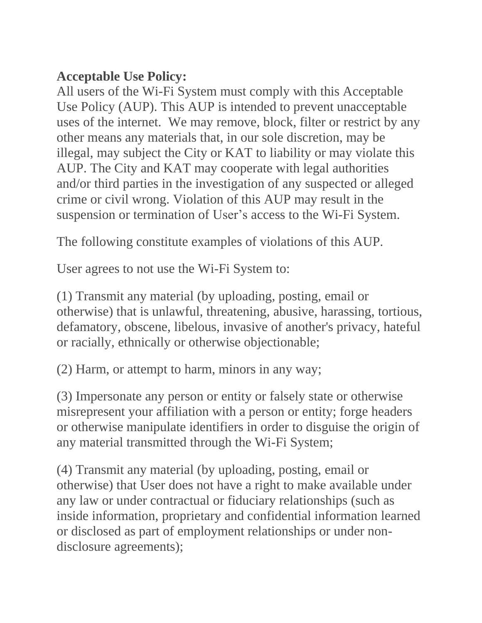### **Acceptable Use Policy:**

All users of the Wi-Fi System must comply with this Acceptable Use Policy (AUP). This AUP is intended to prevent unacceptable uses of the internet. We may remove, block, filter or restrict by any other means any materials that, in our sole discretion, may be illegal, may subject the City or KAT to liability or may violate this AUP. The City and KAT may cooperate with legal authorities and/or third parties in the investigation of any suspected or alleged crime or civil wrong. Violation of this AUP may result in the suspension or termination of User's access to the Wi-Fi System.

The following constitute examples of violations of this AUP.

User agrees to not use the Wi-Fi System to:

(1) Transmit any material (by uploading, posting, email or otherwise) that is unlawful, threatening, abusive, harassing, tortious, defamatory, obscene, libelous, invasive of another's privacy, hateful or racially, ethnically or otherwise objectionable;

(2) Harm, or attempt to harm, minors in any way;

(3) Impersonate any person or entity or falsely state or otherwise misrepresent your affiliation with a person or entity; forge headers or otherwise manipulate identifiers in order to disguise the origin of any material transmitted through the Wi-Fi System;

(4) Transmit any material (by uploading, posting, email or otherwise) that User does not have a right to make available under any law or under contractual or fiduciary relationships (such as inside information, proprietary and confidential information learned or disclosed as part of employment relationships or under nondisclosure agreements);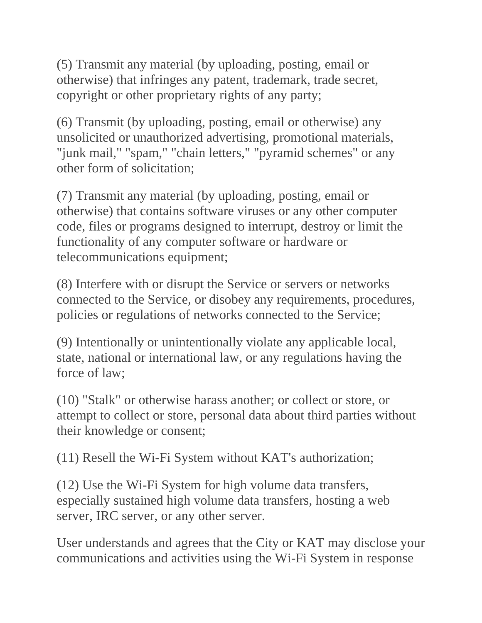(5) Transmit any material (by uploading, posting, email or otherwise) that infringes any patent, trademark, trade secret, copyright or other proprietary rights of any party;

(6) Transmit (by uploading, posting, email or otherwise) any unsolicited or unauthorized advertising, promotional materials, "junk mail," "spam," "chain letters," "pyramid schemes" or any other form of solicitation;

(7) Transmit any material (by uploading, posting, email or otherwise) that contains software viruses or any other computer code, files or programs designed to interrupt, destroy or limit the functionality of any computer software or hardware or telecommunications equipment;

(8) Interfere with or disrupt the Service or servers or networks connected to the Service, or disobey any requirements, procedures, policies or regulations of networks connected to the Service;

(9) Intentionally or unintentionally violate any applicable local, state, national or international law, or any regulations having the force of law;

(10) "Stalk" or otherwise harass another; or collect or store, or attempt to collect or store, personal data about third parties without their knowledge or consent;

(11) Resell the Wi-Fi System without KAT's authorization;

(12) Use the Wi-Fi System for high volume data transfers, especially sustained high volume data transfers, hosting a web server, IRC server, or any other server.

User understands and agrees that the City or KAT may disclose your communications and activities using the Wi-Fi System in response